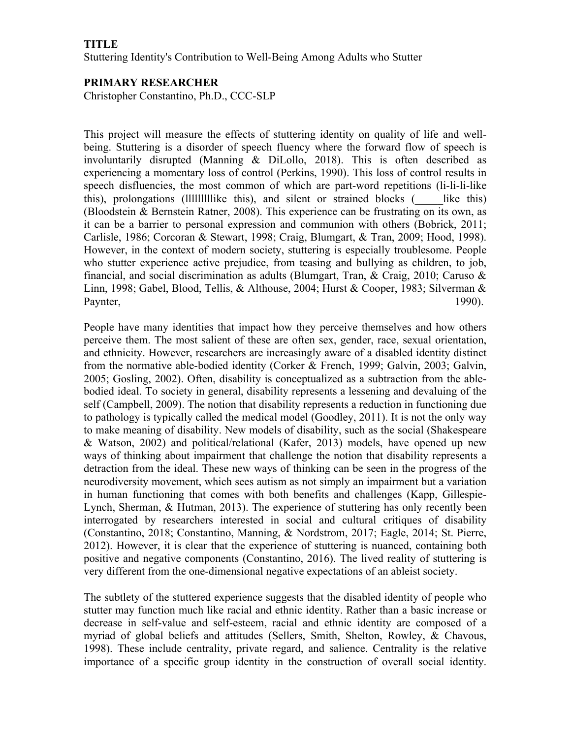## **TITLE**

Stuttering Identity's Contribution to Well-Being Among Adults who Stutter

## **PRIMARY RESEARCHER**

Christopher Constantino, Ph.D., CCC-SLP

This project will measure the effects of stuttering identity on quality of life and wellbeing. Stuttering is a disorder of speech fluency where the forward flow of speech is involuntarily disrupted (Manning & DiLollo, 2018). This is often described as experiencing a momentary loss of control (Perkins, 1990). This loss of control results in speech disfluencies, the most common of which are part-word repetitions (li-li-li-like this), prolongations (Illllllllike this), and silent or strained blocks  $($  like this) (Bloodstein & Bernstein Ratner, 2008). This experience can be frustrating on its own, as it can be a barrier to personal expression and communion with others (Bobrick, 2011; Carlisle, 1986; Corcoran & Stewart, 1998; Craig, Blumgart, & Tran, 2009; Hood, 1998). However, in the context of modern society, stuttering is especially troublesome. People who stutter experience active prejudice, from teasing and bullying as children, to job, financial, and social discrimination as adults (Blumgart, Tran,  $\&$  Craig, 2010; Caruso  $\&$ Linn, 1998; Gabel, Blood, Tellis, & Althouse, 2004; Hurst & Cooper, 1983; Silverman & Paynter, 1990).

People have many identities that impact how they perceive themselves and how others perceive them. The most salient of these are often sex, gender, race, sexual orientation, and ethnicity. However, researchers are increasingly aware of a disabled identity distinct from the normative able-bodied identity (Corker & French, 1999; Galvin, 2003; Galvin, 2005; Gosling, 2002). Often, disability is conceptualized as a subtraction from the ablebodied ideal. To society in general, disability represents a lessening and devaluing of the self (Campbell, 2009). The notion that disability represents a reduction in functioning due to pathology is typically called the medical model (Goodley, 2011). It is not the only way to make meaning of disability. New models of disability, such as the social (Shakespeare & Watson, 2002) and political/relational (Kafer, 2013) models, have opened up new ways of thinking about impairment that challenge the notion that disability represents a detraction from the ideal. These new ways of thinking can be seen in the progress of the neurodiversity movement, which sees autism as not simply an impairment but a variation in human functioning that comes with both benefits and challenges (Kapp, Gillespie-Lynch, Sherman, & Hutman, 2013). The experience of stuttering has only recently been interrogated by researchers interested in social and cultural critiques of disability (Constantino, 2018; Constantino, Manning, & Nordstrom, 2017; Eagle, 2014; St. Pierre, 2012). However, it is clear that the experience of stuttering is nuanced, containing both positive and negative components (Constantino, 2016). The lived reality of stuttering is very different from the one-dimensional negative expectations of an ableist society.

The subtlety of the stuttered experience suggests that the disabled identity of people who stutter may function much like racial and ethnic identity. Rather than a basic increase or decrease in self-value and self-esteem, racial and ethnic identity are composed of a myriad of global beliefs and attitudes (Sellers, Smith, Shelton, Rowley, & Chavous, 1998). These include centrality, private regard, and salience. Centrality is the relative importance of a specific group identity in the construction of overall social identity.